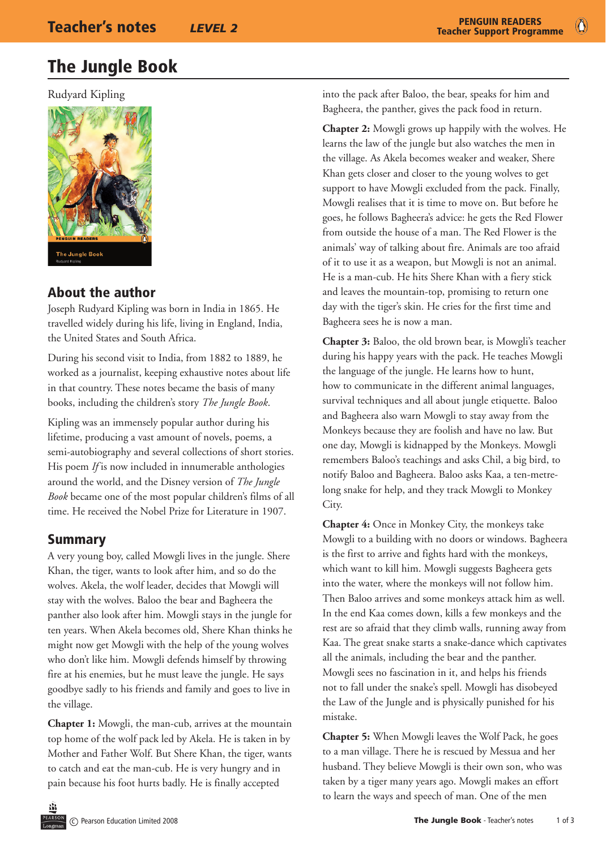# The Jungle Book

Rudyard Kipling



# About the author

Joseph Rudyard Kipling was born in India in 1865. He travelled widely during his life, living in England, India, the United States and South Africa.

During his second visit to India, from 1882 to 1889, he worked as a journalist, keeping exhaustive notes about life in that country. These notes became the basis of many books, including the children's story *The Jungle Book*.

Kipling was an immensely popular author during his lifetime, producing a vast amount of novels, poems, a semi-autobiography and several collections of short stories. His poem *If* is now included in innumerable anthologies around the world, and the Disney version of *The Jungle Book* became one of the most popular children's films of all time. He received the Nobel Prize for Literature in 1907.

### Summary

A very young boy, called Mowgli lives in the jungle. Shere Khan, the tiger, wants to look after him, and so do the wolves. Akela, the wolf leader, decides that Mowgli will stay with the wolves. Baloo the bear and Bagheera the panther also look after him. Mowgli stays in the jungle for ten years. When Akela becomes old, Shere Khan thinks he might now get Mowgli with the help of the young wolves who don't like him. Mowgli defends himself by throwing fire at his enemies, but he must leave the jungle. He says goodbye sadly to his friends and family and goes to live in the village.

**Chapter 1:** Mowgli, the man-cub, arrives at the mountain top home of the wolf pack led by Akela. He is taken in by Mother and Father Wolf. But Shere Khan, the tiger, wants to catch and eat the man-cub. He is very hungry and in pain because his foot hurts badly. He is finally accepted

into the pack after Baloo, the bear, speaks for him and Bagheera, the panther, gives the pack food in return.

**Chapter 2:** Mowgli grows up happily with the wolves. He learns the law of the jungle but also watches the men in the village. As Akela becomes weaker and weaker, Shere Khan gets closer and closer to the young wolves to get support to have Mowgli excluded from the pack. Finally, Mowgli realises that it is time to move on. But before he goes, he follows Bagheera's advice: he gets the Red Flower from outside the house of a man. The Red Flower is the animals' way of talking about fire. Animals are too afraid of it to use it as a weapon, but Mowgli is not an animal. He is a man-cub. He hits Shere Khan with a fiery stick and leaves the mountain-top, promising to return one day with the tiger's skin. He cries for the first time and Bagheera sees he is now a man.

**Chapter 3:** Baloo, the old brown bear, is Mowgli's teacher during his happy years with the pack. He teaches Mowgli the language of the jungle. He learns how to hunt, how to communicate in the different animal languages, survival techniques and all about jungle etiquette. Baloo and Bagheera also warn Mowgli to stay away from the Monkeys because they are foolish and have no law. But one day, Mowgli is kidnapped by the Monkeys. Mowgli remembers Baloo's teachings and asks Chil, a big bird, to notify Baloo and Bagheera. Baloo asks Kaa, a ten-metrelong snake for help, and they track Mowgli to Monkey City.

**Chapter 4:** Once in Monkey City, the monkeys take Mowgli to a building with no doors or windows. Bagheera is the first to arrive and fights hard with the monkeys, which want to kill him. Mowgli suggests Bagheera gets into the water, where the monkeys will not follow him. Then Baloo arrives and some monkeys attack him as well. In the end Kaa comes down, kills a few monkeys and the rest are so afraid that they climb walls, running away from Kaa. The great snake starts a snake-dance which captivates all the animals, including the bear and the panther. Mowgli sees no fascination in it, and helps his friends not to fall under the snake's spell. Mowgli has disobeyed the Law of the Jungle and is physically punished for his mistake.

**Chapter 5:** When Mowgli leaves the Wolf Pack, he goes to a man village. There he is rescued by Messua and her husband. They believe Mowgli is their own son, who was taken by a tiger many years ago. Mowgli makes an effort to learn the ways and speech of man. One of the men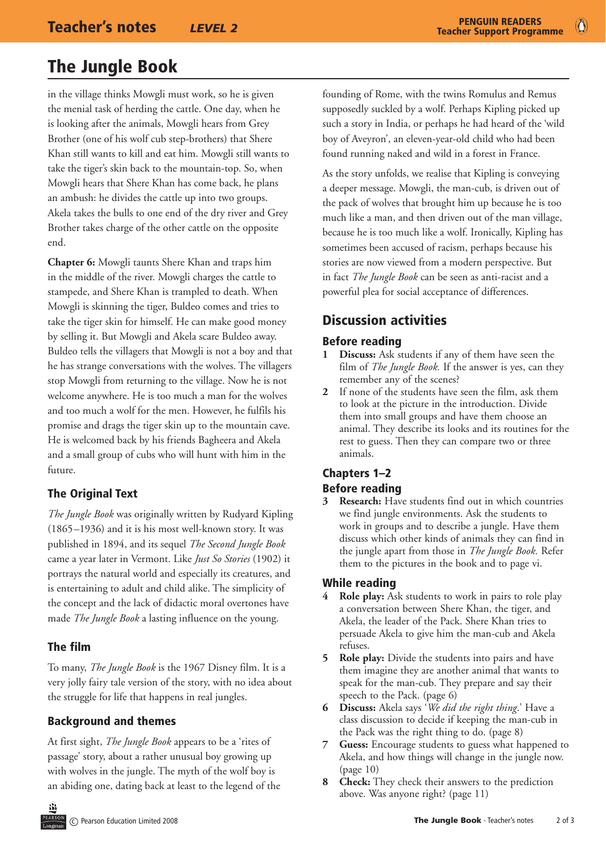$\bullet$ 

# The Jungle Book

in the village thinks Mowgli must work, so he is given the menial task of herding the cattle. One day, when he is looking after the animals, Mowgli hears from Grey Brother (one of his wolf cub step-brothers) that Shere Khan still wants to kill and eat him. Mowgli still wants to take the tiger's skin back to the mountain-top. So, when Mowgli hears that Shere Khan has come back, he plans an ambush: he divides the cattle up into two groups. Akela takes the bulls to one end of the dry river and Grey Brother takes charge of the other cattle on the opposite end.

**Chapter 6:** Mowgli taunts Shere Khan and traps him in the middle of the river. Mowgli charges the cattle to stampede, and Shere Khan is trampled to death. When Mowgli is skinning the tiger, Buldeo comes and tries to take the tiger skin for himself. He can make good money by selling it. But Mowgli and Akela scare Buldeo away. Buldeo tells the villagers that Mowgli is not a boy and that he has strange conversations with the wolves. The villagers stop Mowgli from returning to the village. Now he is not welcome anywhere. He is too much a man for the wolves and too much a wolf for the men. However, he fulfils his promise and drags the tiger skin up to the mountain cave. He is welcomed back by his friends Bagheera and Akela and a small group of cubs who will hunt with him in the future.

### The Original Text

*The Jungle Book* was originally written by Rudyard Kipling (1865–1936) and it is his most well-known story. It was published in 1894, and its sequel *The Second Jungle Book* came a year later in Vermont. Like *Just So Stories* (1902) it portrays the natural world and especially its creatures, and is entertaining to adult and child alike. The simplicity of the concept and the lack of didactic moral overtones have made *The Jungle Book* a lasting influence on the young.

#### The film

To many, *The Jungle Book* is the 1967 Disney film. It is a very jolly fairy tale version of the story, with no idea about the struggle for life that happens in real jungles.

#### Background and themes

At first sight, *The Jungle Book* appears to be a 'rites of passage' story, about a rather unusual boy growing up with wolves in the jungle. The myth of the wolf boy is an abiding one, dating back at least to the legend of the founding of Rome, with the twins Romulus and Remus supposedly suckled by a wolf. Perhaps Kipling picked up such a story in India, or perhaps he had heard of the 'wild boy of Aveyron', an eleven-year-old child who had been found running naked and wild in a forest in France.

As the story unfolds, we realise that Kipling is conveying a deeper message. Mowgli, the man-cub, is driven out of the pack of wolves that brought him up because he is too much like a man, and then driven out of the man village, because he is too much like a wolf. Ironically, Kipling has sometimes been accused of racism, perhaps because his stories are now viewed from a modern perspective. But in fact *The Jungle Book* can be seen as anti-racist and a powerful plea for social acceptance of differences.

# Discussion activities

#### Before reading

- **1 Discuss:** Ask students if any of them have seen the film of *The Jungle Book.* If the answer is yes, can they remember any of the scenes?
- **2** If none of the students have seen the film, ask them to look at the picture in the introduction. Divide them into small groups and have them choose an animal. They describe its looks and its routines for the rest to guess. Then they can compare two or three animals.

#### Chapters 1–2 Before reading

**3 Research:** Have students find out in which countries we find jungle environments. Ask the students to work in groups and to describe a jungle. Have them discuss which other kinds of animals they can find in the jungle apart from those in *The Jungle Book.* Refer them to the pictures in the book and to page vi.

#### While reading

- **4 Role play:** Ask students to work in pairs to role play a conversation between Shere Khan, the tiger, and Akela, the leader of the Pack. Shere Khan tries to persuade Akela to give him the man-cub and Akela refuses.
- **5 Role play:** Divide the students into pairs and have them imagine they are another animal that wants to speak for the man-cub. They prepare and say their speech to the Pack. (page 6)
- **6 Discuss:** Akela says '*We did the right thing*.' Have a class discussion to decide if keeping the man-cub in the Pack was the right thing to do. (page 8)
- **7 Guess:** Encourage students to guess what happened to Akela, and how things will change in the jungle now. (page 10)
- **8 Check:** They check their answers to the prediction above. Was anyone right? (page 11)